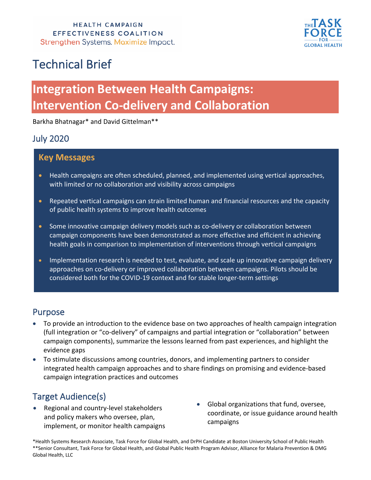

# Technical Brief

# **Integration Between Health Campaigns: Intervention Co-delivery and Collaboration**

Barkha Bhatnagar\* and David Gittelman\*\*

### July 2020

### **Key Messages**

- Health campaigns are often scheduled, planned, and implemented using vertical approaches, with limited or no collaboration and visibility across campaigns
- Repeated vertical campaigns can strain limited human and financial resources and the capacity of public health systems to improve health outcomes
- Some innovative campaign delivery models such as co-delivery or collaboration between campaign components have been demonstrated as more effective and efficient in achieving health goals in comparison to implementation of interventions through vertical campaigns
- Implementation research is needed to test, evaluate, and scale up innovative campaign delivery approaches on co-delivery or improved collaboration between campaigns. Pilots should be considered both for the COVID-19 context and for stable longer-term settings

### Purpose

- To provide an introduction to the evidence base on two approaches of health campaign integration (full integration or "co-delivery" of campaigns and partial integration or "collaboration" between campaign components), summarize the lessons learned from past experiences, and highlight the evidence gaps
- To stimulate discussions among countries, donors, and implementing partners to consider integrated health campaign approaches and to share findings on promising and evidence-based campaign integration practices and outcomes

## Target Audience(s)

- Regional and country-level stakeholders and policy makers who oversee, plan, implement, or monitor health campaigns
- Global organizations that fund, oversee, coordinate, or issue guidance around health campaigns

\*Health Systems Research Associate, Task Force for Global Health, and DrPH Candidate at Boston University School of Public Health \*\*Senior Consultant, Task Force for Global Health, and Global Public Health Program Advisor, Alliance for Malaria Prevention & DMG Global Health, LLC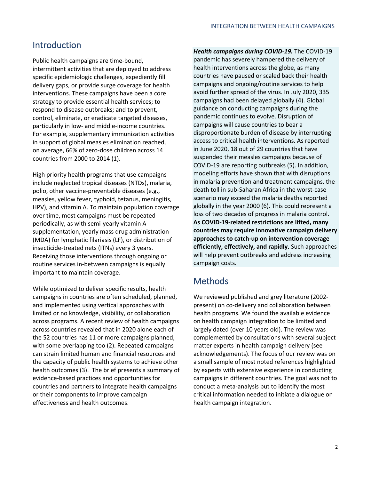### Introduction

Public health campaigns are time-bound, intermittent activities that are deployed to address specific epidemiologic challenges, expediently fill delivery gaps, or provide surge coverage for health interventions. These campaigns have been a core strategy to provide essential health services; to respond to disease outbreaks; and to prevent, control, eliminate, or eradicate targeted diseases, particularly in low- and middle-income countries. For example, supplementary immunization activities in support of global measles elimination reached, on average, 66% of zero-dose children across 14 countries from 2000 to 2014 (1).

High priority health programs that use campaigns include neglected tropical diseases (NTDs), malaria, polio, other vaccine-preventable diseases (e.g., measles, yellow fever, typhoid, tetanus, meningitis, HPV), and vitamin A. To maintain population coverage over time, most campaigns must be repeated periodically, as with semi-yearly vitamin A supplementation, yearly mass drug administration (MDA) for lymphatic filariasis (LF), or distribution of insecticide-treated nets (ITNs) every 3 years. Receiving those interventions through ongoing or routine services in-between campaigns is equally important to maintain coverage.

While optimized to deliver specific results, health campaigns in countries are often scheduled, planned, and implemented using vertical approaches with limited or no knowledge, visibility, or collaboration across programs. A recent review of health campaigns across countries revealed that in 2020 alone each of the 52 countries has 11 or more campaigns planned, with some overlapping too (2). Repeated campaigns can strain limited human and financial resources and the capacity of public health systems to achieve other health outcomes (3). The brief presents a summary of evidence-based practices and opportunities for countries and partners to integrate health campaigns or their components to improve campaign effectiveness and health outcomes.

*Health campaigns during COVID-19.* The COVID-19 pandemic has severely hampered the delivery of health interventions across the globe, as many countries have paused or scaled back their health campaigns and ongoing/routine services to help avoid further spread of the virus. In July 2020, 335 campaigns had been delayed globally (4). Global guidance on conducting campaigns during the pandemic continues to evolve. Disruption of campaigns will cause countries to bear a disproportionate burden of disease by interrupting access to critical health interventions. As reported in June 2020, 18 out of 29 countries that have suspended their measles campaigns because of COVID-19 are reporting outbreaks (5). In addition, modeling efforts have shown that with disruptions in malaria prevention and treatment campaigns, the death toll in sub-Saharan Africa in the worst-case scenario may exceed the malaria deaths reported globally in the year 2000 (6). This could represent a loss of two decades of progress in malaria control. **As COVID-19-related restrictions are lifted, many countries may require innovative campaign delivery approaches to catch-up on intervention coverage efficiently, effectively, and rapidly.** Such approaches will help prevent outbreaks and address increasing campaign costs.

### **Methods**

We reviewed published and grey literature (2002 present) on co-delivery and collaboration between health programs. We found the available evidence on health campaign integration to be limited and largely dated (over 10 years old). The review was complemented by consultations with several subject matter experts in health campaign delivery (see acknowledgements). The focus of our review was on a small sample of most noted references highlighted by experts with extensive experience in conducting campaigns in different countries. The goal was not to conduct a meta-analysis but to identify the most critical information needed to initiate a dialogue on health campaign integration.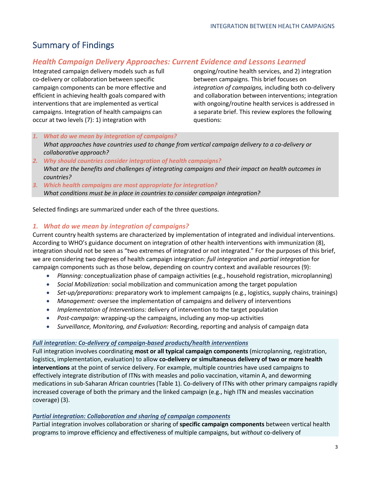## Summary of Findings

### *Health Campaign Delivery Approaches: Current Evidence and Lessons Learned*

Integrated campaign delivery models such as full co-delivery or collaboration between specific campaign components can be more effective and efficient in achieving health goals compared with interventions that are implemented as vertical campaigns. Integration of health campaigns can occur at two levels (7): 1) integration with

ongoing/routine health services, and 2) integration between campaigns. This brief focuses on *integration of campaigns,* including both co-delivery and collaboration between interventions; integration with ongoing/routine health services is addressed in a separate brief. This review explores the following questions:

- *1. What do we mean by integration of campaigns? What approaches have countries used to change from vertical campaign delivery to a co-delivery or collaborative approach?*
- *2. Why should countries consider integration of health campaigns? What are the benefits and challenges of integrating campaigns and their impact on health outcomes in countries?*
- *3. Which health campaigns are most appropriate for integration? What conditions must be in place in countries to consider campaign integration?*

Selected findings are summarized under each of the three questions.

#### *1. What do we mean by integration of campaigns?*

Current country health systems are characterized by implementation of integrated and individual interventions. According to WHO's guidance document on integration of other health interventions with immunization (8), integration should not be seen as "two extremes of integrated or not integrated." For the purposes of this brief, we are considering two degrees of health campaign integration: *full integration* and *partial integration* for campaign components such as those below, depending on country context and available resources (9):

- *Planning:* conceptualization phase of campaign activities (e.g., household registration, microplanning)
- *Social Mobilization:* social mobilization and communication among the target population
- *Set-up/preparations:* preparatory work to implement campaigns (e.g., logistics, supply chains, trainings)
- *Management:* oversee the implementation of campaigns and delivery of interventions
- *Implementation of Interventions:* delivery of intervention to the target population
- *Post-campaign:* wrapping-up the campaigns, including any mop-up activities
- *Surveillance, Monitoring, and Evaluation:* Recording, reporting and analysis of campaign data

#### *Full integration: Co-delivery of campaign-based products/health interventions*

Full integration involves coordinating **most or all typical campaign components** (microplanning, registration, logistics, implementation, evaluation) to allow **co-delivery or simultaneous delivery of two or more health interventions** at the point of service delivery. For example, multiple countries have used campaigns to effectively integrate distribution of ITNs with measles and polio vaccination, vitamin A, and deworming medications in sub-Saharan African countries (Table 1). Co-delivery of ITNs with other primary campaigns rapidly increased coverage of both the primary and the linked campaign (e.g., high ITN and measles vaccination coverage) (3).

#### *Partial integration: Collaboration and sharing of campaign components*

Partial integration involves collaboration or sharing of **specific campaign components** between vertical health programs to improve efficiency and effectiveness of multiple campaigns, but *without* co-delivery of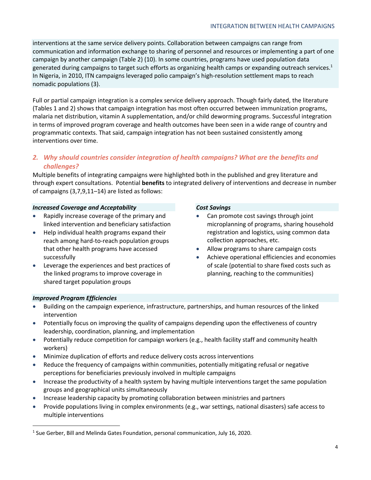interventions at the same service delivery points. Collaboration between campaigns can range from communication and information exchange to sharing of personnel and resources or implementing a part of one campaign by another campaign (Table 2) (10). In some countries, programs have used population data generated during campaigns to target such efforts as organizing health camps or expanding outreach services.<sup>1</sup> In Nigeria, in 2010, ITN campaigns leveraged polio campaign's high-resolution settlement maps to reach nomadic populations (3).

Full or partial campaign integration is a complex service delivery approach. Though fairly dated, the literature (Tables 1 and 2) shows that campaign integration has most often occurred between immunization programs, malaria net distribution, vitamin A supplementation, and/or child deworming programs. Successful integration in terms of improved program coverage and health outcomes have been seen in a wide range of country and programmatic contexts. That said, campaign integration has not been sustained consistently among interventions over time.

### *2. Why should countries consider integration of health campaigns? What are the benefits and challenges?*

Multiple benefits of integrating campaigns were highlighted both in the published and grey literature and through expert consultations. Potential **benefits** to integrated delivery of interventions and decrease in number of campaigns (3,7,9,11–14) are listed as follows:

#### *Increased Coverage and Acceptability*

- Rapidly increase coverage of the primary and linked intervention and beneficiary satisfaction
- Help individual health programs expand their reach among hard-to-reach population groups that other health programs have accessed successfully
- Leverage the experiences and best practices of the linked programs to improve coverage in shared target population groups

#### *Cost Savings*

- Can promote cost savings through joint microplanning of programs, sharing household registration and logistics, using common data collection approaches, etc.
- Allow programs to share campaign costs
- Achieve operational efficiencies and economies of scale (potential to share fixed costs such as planning, reaching to the communities)

#### *Improved Program Efficiencies*

- Building on the campaign experience, infrastructure, partnerships, and human resources of the linked intervention
- Potentially focus on improving the quality of campaigns depending upon the effectiveness of country leadership, coordination, planning, and implementation
- Potentially reduce competition for campaign workers (e.g., health facility staff and community health workers)
- Minimize duplication of efforts and reduce delivery costs across interventions
- Reduce the frequency of campaigns within communities, potentially mitigating refusal or negative perceptions for beneficiaries previously involved in multiple campaigns
- Increase the productivity of a health system by having multiple interventions target the same population groups and geographical units simultaneously
- Increase leadership capacity by promoting collaboration between ministries and partners
- Provide populations living in complex environments (e.g., war settings, national disasters) safe access to multiple interventions

<sup>&</sup>lt;sup>1</sup> Sue Gerber, Bill and Melinda Gates Foundation, personal communication, July 16, 2020.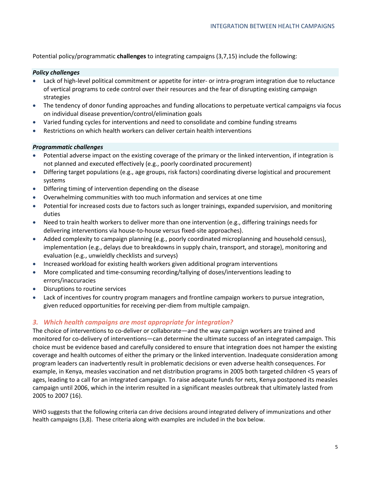Potential policy/programmatic **challenges** to integrating campaigns (3,7,15) include the following:

#### *Policy challenges*

- Lack of high-level political commitment or appetite for inter- or intra-program integration due to reluctance of vertical programs to cede control over their resources and the fear of disrupting existing campaign strategies
- The tendency of donor funding approaches and funding allocations to perpetuate vertical campaigns via focus on individual disease prevention/control/elimination goals
- Varied funding cycles for interventions and need to consolidate and combine funding streams
- Restrictions on which health workers can deliver certain health interventions

#### *Programmatic challenges*

- Potential adverse impact on the existing coverage of the primary or the linked intervention, if integration is not planned and executed effectively (e.g., poorly coordinated procurement)
- Differing target populations (e.g., age groups, risk factors) coordinating diverse logistical and procurement systems
- Differing timing of intervention depending on the disease
- Overwhelming communities with too much information and services at one time
- Potential for increased costs due to factors such as longer trainings, expanded supervision, and monitoring duties
- Need to train health workers to deliver more than one intervention (e.g., differing trainings needs for delivering interventions via house-to-house versus fixed-site approaches).
- Added complexity to campaign planning (e.g., poorly coordinated microplanning and household census), implementation (e.g., delays due to breakdowns in supply chain, transport, and storage), monitoring and evaluation (e.g., unwieldly checklists and surveys)
- Increased workload for existing health workers given additional program interventions
- More complicated and time-consuming recording/tallying of doses/interventions leading to errors/inaccuracies
- Disruptions to routine services
- Lack of incentives for country program managers and frontline campaign workers to pursue integration, given reduced opportunities for receiving per-diem from multiple campaign.

#### *3. Which health campaigns are most appropriate for integration?*

The choice of interventions to co-deliver or collaborate—and the way campaign workers are trained and monitored for co-delivery of interventions—can determine the ultimate success of an integrated campaign. This choice must be evidence based and carefully considered to ensure that integration does not hamper the existing coverage and health outcomes of either the primary or the linked intervention. Inadequate consideration among program leaders can inadvertently result in problematic decisions or even adverse health consequences. For example, in Kenya, measles vaccination and net distribution programs in 2005 both targeted children <5 years of ages, leading to a call for an integrated campaign. To raise adequate funds for nets, Kenya postponed its measles campaign until 2006, which in the interim resulted in a significant measles outbreak that ultimately lasted from 2005 to 2007 (16).

WHO suggests that the following criteria can drive decisions around integrated delivery of immunizations and other health campaigns (3,8). These criteria along with examples are included in the box below.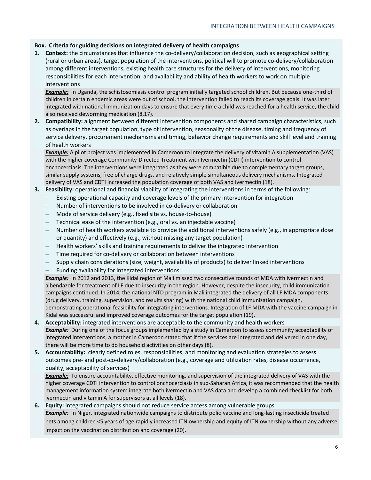#### **Box. Criteria for guiding decisions on integrated delivery of health campaigns**

**1. Context:** the circumstances that influence the co-delivery/collaboration decision, such as geographical setting (rural or urban areas), target population of the interventions, political will to promote co-delivery/collaboration among different interventions, existing health care structures for the delivery of interventions, monitoring responsibilities for each intervention, and availability and ability of health workers to work on multiple interventions

*Example:* In Uganda, the schistosomiasis control program initially targeted school children. But because one-third of children in certain endemic areas were out of school, the intervention failed to reach its coverage goals. It was later integrated with national immunization days to ensure that every time a child was reached for a health service, the child also received deworming medication (8,17).

**2. Compatibility:** alignment between different intervention components and shared campaign characteristics, such as overlaps in the target population, type of intervention, seasonality of the disease, timing and frequency of service delivery, procurement mechanisms and timing, behavior change requirements and skill level and training of health workers

*Example:* A pilot project was implemented in Cameroon to integrate the delivery of vitamin A supplementation (VAS) with the higher coverage Community-Directed Treatment with Ivermectin (CDTI) intervention to control onchocerciasis. The interventions were integrated as they were compatible due to complementary target groups, similar supply systems, free of charge drugs, and relatively simple simultaneous delivery mechanisms. Integrated delivery of VAS and CDTI increased the population coverage of both VAS and ivermectin (18).

#### **3. Feasibility:** operational and financial viability of integrating the interventions in terms of the following:

- Existing operational capacity and coverage levels of the primary intervention for integration
- Number of interventions to be involved in co-delivery or collaboration
- Mode of service delivery (e.g., fixed site vs. house-to-house)
- Technical ease of the intervention (e.g., oral vs. an injectable vaccine)
- Number of health workers available to provide the additional interventions safely (e.g., in appropriate dose or quantity) and effectively (e.g., without missing any target population)
- Health workers' skills and training requirements to deliver the integrated intervention
- Time required for co-delivery or collaboration between interventions
- Supply chain considerations (size, weight, availability of products) to deliver linked interventions
- Funding availability for integrated interventions

**Example:** In 2012 and 2013, the Kidal region of Mali missed two consecutive rounds of MDA with ivermectin and albendazole for treatment of LF due to insecurity in the region. However, despite the insecurity, child immunization campaigns continued. In 2014, the national NTD program in Mali integrated the delivery of all LF MDA components (drug delivery, training, supervision, and results sharing) with the national child immunization campaign, demonstrating operational feasibility for integrating interventions. Integration of LF MDA with the vaccine campaign in Kidal was successful and improved coverage outcomes for the target population (19).

- **4. Acceptability:** integrated interventions are acceptable to the community and health workers **Example:** During one of the focus groups implemented by a study in Cameroon to assess community acceptability of integrated interventions, a mother in Cameroon stated that if the services are integrated and delivered in one day, there will be more time to do household activities on other days (8).
- **5. Accountability:** clearly defined roles, responsibilities, and monitoring and evaluation strategies to assess outcomes pre- and post-co-delivery/collaboration (e.g., coverage and utilization rates, disease occurrence, quality, acceptability of services)

*Example:* To ensure accountability, effective monitoring, and supervision of the integrated delivery of VAS with the higher coverage CDTI intervention to control onchocerciasis in sub-Saharan Africa, it was recommended that the health management information system integrate both ivermectin and VAS data and develop a combined checklist for both ivermectin and vitamin A for supervisors at all levels (18).

**6. Equity:** integrated campaigns should not reduce service access among vulnerable groups **Example:** In Niger, integrated nationwide campaigns to distribute polio vaccine and long-lasting insecticide treated nets among children <5 years of age rapidly increased ITN ownership and equity of ITN ownership without any adverse impact on the vaccination distribution and coverage (20).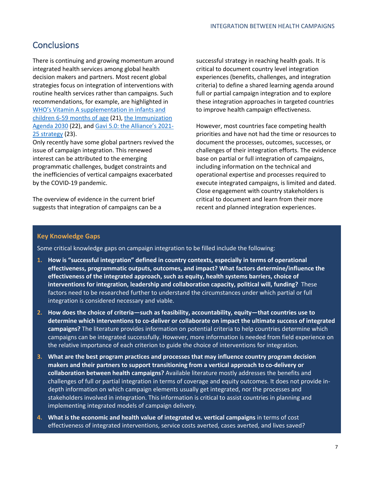### **Conclusions**

There is continuing and growing momentum around integrated health services among global health decision makers and partners. Most recent global strategies focus on integration of interventions with routine health services rather than campaigns. Such recommendations, for example, are highlighted in WHO's Vitamin A supplementation in infants and children 6-59 months of age (21), the Immunization Agenda 2030 (22), and Gavi 5.0: the Alliance's 2021- 25 strategy (23).

Only recently have some global partners revived the issue of campaign integration. This renewed interest can be attributed to the emerging programmatic challenges, budget constraints and the inefficiencies of vertical campaigns exacerbated by the COVID-19 pandemic.

The overview of evidence in the current brief suggests that integration of campaigns can be a

successful strategy in reaching health goals. It is critical to document country level integration experiences (benefits, challenges, and integration criteria) to define a shared learning agenda around full or partial campaign integration and to explore these integration approaches in targeted countries to improve health campaign effectiveness.

However, most countries face competing health priorities and have not had the time or resources to document the processes, outcomes, successes, or challenges of their integration efforts. The evidence base on partial or full integration of campaigns, including information on the technical and operational expertise and processes required to execute integrated campaigns, is limited and dated. Close engagement with country stakeholders is critical to document and learn from their more recent and planned integration experiences.

#### **Key Knowledge Gaps**

Some critical knowledge gaps on campaign integration to be filled include the following:

- **1. How is "successful integration" defined in country contexts, especially in terms of operational effectiveness, programmatic outputs, outcomes, and impact? What factors determine/influence the effectiveness of the integrated approach, such as equity, health systems barriers, choice of interventions for integration, leadership and collaboration capacity, political will, funding?** These factors need to be researched further to understand the circumstances under which partial or full integration is considered necessary and viable.
- **2. How does the choice of criteria—such as feasibility, accountability, equity—that countries use to determine which interventions to co-deliver or collaborate on impact the ultimate success of integrated campaigns?** The literature provides information on potential criteria to help countries determine which campaigns can be integrated successfully. However, more information is needed from field experience on the relative importance of each criterion to guide the choice of interventions for integration.
- **3. What are the best program practices and processes that may influence country program decision makers and their partners to support transitioning from a vertical approach to co-delivery or collaboration between health campaigns?** Available literature mostly addresses the benefits and challenges of full or partial integration in terms of coverage and equity outcomes. It does not provide indepth information on which campaign elements usually get integrated, nor the processes and stakeholders involved in integration. This information is critical to assist countries in planning and implementing integrated models of campaign delivery.
- **4. What is the economic and health value of integrated vs. vertical campaigns** in terms of cost effectiveness of integrated interventions, service costs averted, cases averted, and lives saved?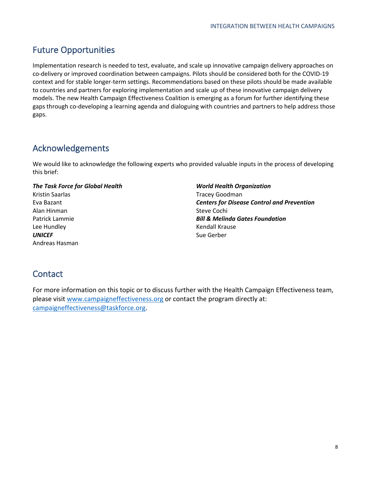### Future Opportunities

Implementation research is needed to test, evaluate, and scale up innovative campaign delivery approaches on co-delivery or improved coordination between campaigns. Pilots should be considered both for the COVID-19 context and for stable longer-term settings. Recommendations based on these pilots should be made available to countries and partners for exploring implementation and scale up of these innovative campaign delivery models. The new Health Campaign Effectiveness Coalition is emerging as a forum for further identifying these gaps through co-developing a learning agenda and dialoguing with countries and partners to help address those gaps.

### Acknowledgements

We would like to acknowledge the following experts who provided valuable inputs in the process of developing this brief:

#### *The Task Force for Global Health*

Kristin Saarlas Eva Bazant Alan Hinman Patrick Lammie Lee Hundley *UNICEF* Andreas Hasman

*World Health Organization*  Tracey Goodman *Centers for Disease Control and Prevention*  Steve Cochi *Bill & Melinda Gates Foundation* Kendall Krause Sue Gerber

### **Contact**

For more information on this topic or to discuss further with the Health Campaign Effectiveness team, please visit www.campaigneffectiveness.org or contact the program directly at: campaigneffectiveness@taskforce.org.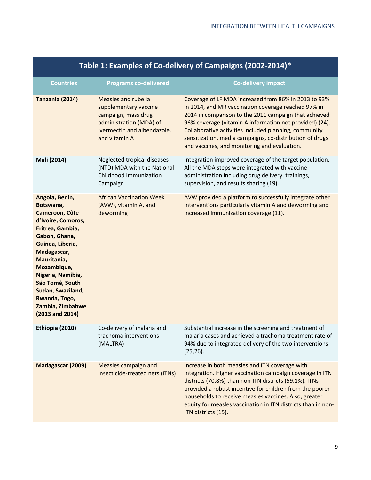| Table 1: Examples of Co-delivery of Campaigns (2002-2014)*                                                                                                                                                                                                                                         |                                                                                                                                                |                                                                                                                                                                                                                                                                                                                                                                                                      |  |  |
|----------------------------------------------------------------------------------------------------------------------------------------------------------------------------------------------------------------------------------------------------------------------------------------------------|------------------------------------------------------------------------------------------------------------------------------------------------|------------------------------------------------------------------------------------------------------------------------------------------------------------------------------------------------------------------------------------------------------------------------------------------------------------------------------------------------------------------------------------------------------|--|--|
| <b>Countries</b>                                                                                                                                                                                                                                                                                   | <b>Programs co-delivered</b>                                                                                                                   | <b>Co-delivery impact</b>                                                                                                                                                                                                                                                                                                                                                                            |  |  |
| Tanzania (2014)                                                                                                                                                                                                                                                                                    | Measles and rubella<br>supplementary vaccine<br>campaign, mass drug<br>administration (MDA) of<br>ivermectin and albendazole,<br>and vitamin A | Coverage of LF MDA increased from 86% in 2013 to 93%<br>in 2014, and MR vaccination coverage reached 97% in<br>2014 in comparison to the 2011 campaign that achieved<br>96% coverage (vitamin A information not provided) (24).<br>Collaborative activities included planning, community<br>sensitization, media campaigns, co-distribution of drugs<br>and vaccines, and monitoring and evaluation. |  |  |
| Mali (2014)                                                                                                                                                                                                                                                                                        | Neglected tropical diseases<br>(NTD) MDA with the National<br>Childhood Immunization<br>Campaign                                               | Integration improved coverage of the target population.<br>All the MDA steps were integrated with vaccine<br>administration including drug delivery, trainings,<br>supervision, and results sharing (19).                                                                                                                                                                                            |  |  |
| Angola, Benin,<br>Botswana,<br>Cameroon, Côte<br>d'Ivoire, Comoros,<br>Eritrea, Gambia,<br>Gabon, Ghana,<br>Guinea, Liberia,<br>Madagascar,<br>Mauritania,<br>Mozambique,<br>Nigeria, Namibia,<br>Säo Tomé, South<br>Sudan, Swaziland,<br>Rwanda, Togo,<br>Zambia, Zimbabwe<br>$(2013$ and $2014)$ | <b>African Vaccination Week</b><br>(AVW), vitamin A, and<br>deworming                                                                          | AVW provided a platform to successfully integrate other<br>interventions particularly vitamin A and deworming and<br>increased immunization coverage (11).                                                                                                                                                                                                                                           |  |  |
| Ethiopia (2010)                                                                                                                                                                                                                                                                                    | Co-delivery of malaria and<br>trachoma interventions<br>(MALTRA)                                                                               | Substantial increase in the screening and treatment of<br>malaria cases and achieved a trachoma treatment rate of<br>94% due to integrated delivery of the two interventions<br>$(25, 26)$ .                                                                                                                                                                                                         |  |  |
| Madagascar (2009)                                                                                                                                                                                                                                                                                  | Measles campaign and<br>insecticide-treated nets (ITNs)                                                                                        | Increase in both measles and ITN coverage with<br>integration. Higher vaccination campaign coverage in ITN<br>districts (70.8%) than non-ITN districts (59.1%). ITNs<br>provided a robust incentive for children from the poorer<br>households to receive measles vaccines. Also, greater<br>equity for measles vaccination in ITN districts than in non-<br>ITN districts (15).                     |  |  |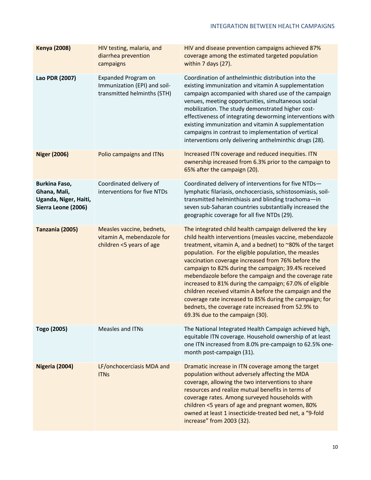| <b>Kenya (2008)</b>                                                           | HIV testing, malaria, and<br>diarrhea prevention<br>campaigns                       | HIV and disease prevention campaigns achieved 87%<br>coverage among the estimated targeted population<br>within 7 days (27).                                                                                                                                                                                                                                                                                                                                                                                                                                                                                                                                                            |
|-------------------------------------------------------------------------------|-------------------------------------------------------------------------------------|-----------------------------------------------------------------------------------------------------------------------------------------------------------------------------------------------------------------------------------------------------------------------------------------------------------------------------------------------------------------------------------------------------------------------------------------------------------------------------------------------------------------------------------------------------------------------------------------------------------------------------------------------------------------------------------------|
| Lao PDR (2007)                                                                | Expanded Program on<br>Immunization (EPI) and soil-<br>transmitted helminths (STH)  | Coordination of anthelminthic distribution into the<br>existing immunization and vitamin A supplementation<br>campaign accompanied with shared use of the campaign<br>venues, meeting opportunities, simultaneous social<br>mobilization. The study demonstrated higher cost-<br>effectiveness of integrating deworming interventions with<br>existing immunization and vitamin A supplementation<br>campaigns in contrast to implementation of vertical<br>interventions only delivering anthelminthic drugs (28).                                                                                                                                                                     |
| <b>Niger (2006)</b>                                                           | Polio campaigns and ITNs                                                            | Increased ITN coverage and reduced inequities. ITN<br>ownership increased from 6.3% prior to the campaign to<br>65% after the campaign (20).                                                                                                                                                                                                                                                                                                                                                                                                                                                                                                                                            |
| Burkina Faso,<br>Ghana, Mali,<br>Uganda, Niger, Haiti,<br>Sierra Leone (2006) | Coordinated delivery of<br>interventions for five NTDs                              | Coordinated delivery of interventions for five NTDs-<br>lymphatic filariasis, onchocerciasis, schistosomiasis, soil-<br>transmitted helminthiasis and blinding trachoma-in<br>seven sub-Saharan countries substantially increased the<br>geographic coverage for all five NTDs (29).                                                                                                                                                                                                                                                                                                                                                                                                    |
| Tanzania (2005)                                                               | Measles vaccine, bednets,<br>vitamin A, mebendazole for<br>children <5 years of age | The integrated child health campaign delivered the key<br>child health interventions (measles vaccine, mebendazole<br>treatment, vitamin A, and a bednet) to ~80% of the target<br>population. For the eligible population, the measles<br>vaccination coverage increased from 76% before the<br>campaign to 82% during the campaign; 39.4% received<br>mebendazole before the campaign and the coverage rate<br>increased to 81% during the campaign; 67.0% of eligible<br>children received vitamin A before the campaign and the<br>coverage rate increased to 85% during the campaign; for<br>bednets, the coverage rate increased from 52.9% to<br>69.3% due to the campaign (30). |
| Togo (2005)                                                                   | Measles and ITNs                                                                    | The National Integrated Health Campaign achieved high,<br>equitable ITN coverage. Household ownership of at least<br>one ITN increased from 8.0% pre-campaign to 62.5% one-<br>month post-campaign (31).                                                                                                                                                                                                                                                                                                                                                                                                                                                                                |
| <b>Nigeria (2004)</b>                                                         | LF/onchocerciasis MDA and<br><b>ITNs</b>                                            | Dramatic increase in ITN coverage among the target<br>population without adversely affecting the MDA<br>coverage, allowing the two interventions to share<br>resources and realize mutual benefits in terms of<br>coverage rates. Among surveyed households with<br>children <5 years of age and pregnant women, 80%<br>owned at least 1 insecticide-treated bed net, a "9-fold<br>increase" from 2003 (32).                                                                                                                                                                                                                                                                            |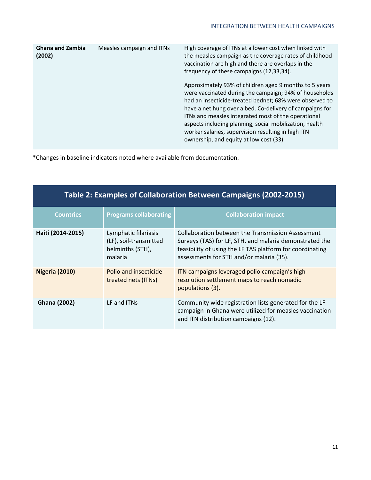| <b>Ghana and Zambia</b><br>(2002) | Measles campaign and ITNs | High coverage of ITNs at a lower cost when linked with<br>the measles campaign as the coverage rates of childhood<br>vaccination are high and there are overlaps in the<br>frequency of these campaigns (12,33,34).                                                                                                                                                                                                                                        |
|-----------------------------------|---------------------------|------------------------------------------------------------------------------------------------------------------------------------------------------------------------------------------------------------------------------------------------------------------------------------------------------------------------------------------------------------------------------------------------------------------------------------------------------------|
|                                   |                           | Approximately 93% of children aged 9 months to 5 years<br>were vaccinated during the campaign; 94% of households<br>had an insecticide-treated bednet; 68% were observed to<br>have a net hung over a bed. Co-delivery of campaigns for<br>ITNs and measles integrated most of the operational<br>aspects including planning, social mobilization, health<br>worker salaries, supervision resulting in high ITN<br>ownership, and equity at low cost (33). |

\*Changes in baseline indicators noted where available from documentation.

| Table 2: Examples of Collaboration Between Campaigns (2002-2015) |                                                                               |                                                                                                                                                                                                                       |  |  |
|------------------------------------------------------------------|-------------------------------------------------------------------------------|-----------------------------------------------------------------------------------------------------------------------------------------------------------------------------------------------------------------------|--|--|
| <b>Countries</b>                                                 | <b>Programs collaborating</b>                                                 | <b>Collaboration impact</b>                                                                                                                                                                                           |  |  |
| Haiti (2014-2015)                                                | Lymphatic filariasis<br>(LF), soil-transmitted<br>helminths (STH),<br>malaria | Collaboration between the Transmission Assessment<br>Surveys (TAS) for LF, STH, and malaria demonstrated the<br>feasibility of using the LF TAS platform for coordinating<br>assessments for STH and/or malaria (35). |  |  |
| <b>Nigeria (2010)</b>                                            | Polio and insecticide-<br>treated nets (ITNs)                                 | ITN campaigns leveraged polio campaign's high-<br>resolution settlement maps to reach nomadic<br>populations (3).                                                                                                     |  |  |
| <b>Ghana (2002)</b>                                              | LF and ITNs                                                                   | Community wide registration lists generated for the LF<br>campaign in Ghana were utilized for measles vaccination<br>and ITN distribution campaigns (12).                                                             |  |  |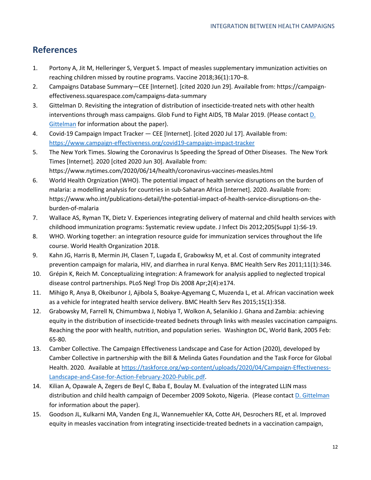### **References**

- 1. Portony A, Jit M, Helleringer S, Verguet S. Impact of measles supplementary immunization activities on reaching children missed by routine programs. Vaccine 2018;36(1):170–8.
- 2. Campaigns Database Summary—CEE [Internet]. [cited 2020 Jun 29]. Available from: https://campaigneffectiveness.squarespace.com/campaigns-data-summary
- 3. Gittelman D. Revisiting the integration of distribution of insecticide-treated nets with other health interventions through mass campaigns. Glob Fund to Fight AIDS, TB Malar 2019. (Please contact D. Gittelman for information about the paper).
- 4. Covid-19 Campaign Impact Tracker CEE [Internet]. [cited 2020 Jul 17]. Available from: https://www.campaign-effectiveness.org/covid19-campaign-impact-tracker
- 5. The New York Times. Slowing the Coronavirus Is Speeding the Spread of Other Diseases. The New York Times [Internet]. 2020 [cited 2020 Jun 30]. Available from: https://www.nytimes.com/2020/06/14/health/coronavirus-vaccines-measles.html
- 6. World Health Orgnization (WHO). The potential impact of health service disruptions on the burden of malaria: a modelling analysis for countries in sub-Saharan Africa [Internet]. 2020. Available from: https://www.who.int/publications-detail/the-potential-impact-of-health-service-disruptions-on-theburden-of-malaria
- 7. Wallace AS, Ryman TK, Dietz V. Experiences integrating delivery of maternal and child health services with childhood immunization programs: Systematic review update. J Infect Dis 2012;205(Suppl 1):S6-19.
- 8. WHO. Working together: an integration resource guide for immunization services throughout the life course. World Health Organization 2018.
- 9. Kahn JG, Harris B, Mermin JH, Clasen T, Lugada E, Grabowksy M, et al. Cost of community integrated prevention campaign for malaria, HIV, and diarrhea in rural Kenya. BMC Health Serv Res 2011;11(1):346.
- 10. Grépin K, Reich M. Conceptualizing integration: A framework for analysis applied to neglected tropical disease control partnerships. PLoS Negl Trop Dis 2008 Apr;2(4):e174.
- 11. Mihigo R, Anya B, Okeibunor J, Ajibola S, Boakye-Agyemang C, Muzenda L, et al. African vaccination week as a vehicle for integrated health service delivery. BMC Health Serv Res 2015;15(1):358.
- 12. Grabowsky M, Farrell N, Chimumbwa J, Nobiya T, Wolkon A, Selanikio J. Ghana and Zambia: achieving equity in the distribution of insecticide-treated bednets through links with measles vaccination campaigns. Reaching the poor with health, nutrition, and population series. Washington DC, World Bank, 2005 Feb: 65-80.
- 13. Camber Collective. The Campaign Effectiveness Landscape and Case for Action (2020), developed by Camber Collective in partnership with the Bill & Melinda Gates Foundation and the Task Force for Global Health. 2020. Available at https://taskforce.org/wp-content/uploads/2020/04/Campaign-Effectiveness-Landscape-and-Case-for-Action-February-2020-Public.pdf.
- 14. Kilian A, Opawale A, Zegers de Beyl C, Baba E, Boulay M. Evaluation of the integrated LLIN mass distribution and child health campaign of December 2009 Sokoto, Nigeria. (Please contact D. Gittelman for information about the paper).
- 15. Goodson JL, Kulkarni MA, Vanden Eng JL, Wannemuehler KA, Cotte AH, Desrochers RE, et al. Improved equity in measles vaccination from integrating insecticide-treated bednets in a vaccination campaign,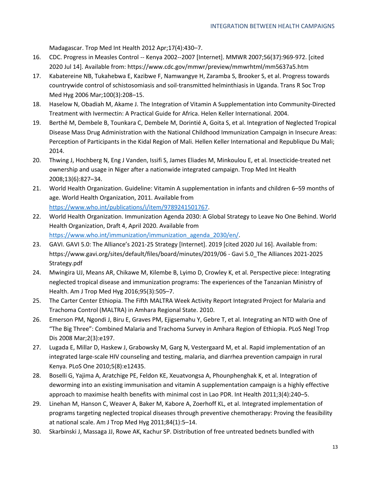Madagascar. Trop Med Int Health 2012 Apr;17(4):430–7.

- 16. CDC. Progress in Measles Control -- Kenya 2002--2007 [Internet]. MMWR 2007;56(37):969-972. [cited 2020 Jul 14]. Available from: https://www.cdc.gov/mmwr/preview/mmwrhtml/mm5637a5.htm
- 17. Kabatereine NB, Tukahebwa E, Kazibwe F, Namwangye H, Zaramba S, Brooker S, et al. Progress towards countrywide control of schistosomiasis and soil-transmitted helminthiasis in Uganda. Trans R Soc Trop Med Hyg 2006 Mar;100(3):208–15.
- 18. Haselow N, Obadiah M, Akame J. The Integration of Vitamin A Supplementation into Community-Directed Treatment with Ivermectin: A Practical Guide for Africa. Helen Keller International. 2004.
- 19. Berthé M, Dembele B, Tounkara C, Dembele M, Dorintié A, Goita S, et al. Integration of Neglected Tropical Disease Mass Drug Administration with the National Childhood Immunization Campaign in Insecure Areas: Perception of Participants in the Kidal Region of Mali. Hellen Keller International and Republique Du Mali; 2014.
- 20. Thwing J, Hochberg N, Eng J Vanden, Issifi S, James Eliades M, Minkoulou E, et al. Insecticide-treated net ownership and usage in Niger after a nationwide integrated campaign. Trop Med Int Health 2008;13(6):827–34.
- 21. World Health Organization. Guideline: Vitamin A supplementation in infants and children 6–59 months of age. World Health Organization, 2011. Available from https://www.who.int/publications/i/item/9789241501767.
- 22. World Health Organization. Immunization Agenda 2030: A Global Strategy to Leave No One Behind. World Health Organization, Draft 4, April 2020. Available from https://www.who.int/immunization/immunization\_agenda\_2030/en/.
- 23. GAVI. GAVI 5.0: The Alliance's 2021-25 Strategy [Internet]. 2019 [cited 2020 Jul 16]. Available from: https://www.gavi.org/sites/default/files/board/minutes/2019/06 - Gavi 5.0\_The Alliances 2021-2025 Strategy.pdf
- 24. Mwingira UJ, Means AR, Chikawe M, Kilembe B, Lyimo D, Crowley K, et al. Perspective piece: Integrating neglected tropical disease and immunization programs: The experiences of the Tanzanian Ministry of Health. Am J Trop Med Hyg 2016;95(3):505–7.
- 25. The Carter Center Ethiopia. The Fifth MALTRA Week Activity Report Integrated Project for Malaria and Trachoma Control (MALTRA) in Amhara Regional State. 2010.
- 26. Emerson PM, Ngondi J, Biru E, Graves PM, Ejigsemahu Y, Gebre T, et al. Integrating an NTD with One of "The Big Three": Combined Malaria and Trachoma Survey in Amhara Region of Ethiopia. PLoS Negl Trop Dis 2008 Mar;2(3):e197.
- 27. Lugada E, Millar D, Haskew J, Grabowsky M, Garg N, Vestergaard M, et al. Rapid implementation of an integrated large-scale HIV counseling and testing, malaria, and diarrhea prevention campaign in rural Kenya. PLoS One 2010;5(8):e12435.
- 28. Boselli G, Yajima A, Aratchige PE, Feldon KE, Xeuatvongsa A, Phounphenghak K, et al. Integration of deworming into an existing immunisation and vitamin A supplementation campaign is a highly effective approach to maximise health benefits with minimal cost in Lao PDR. Int Health 2011;3(4):240–5.
- 29. Linehan M, Hanson C, Weaver A, Baker M, Kabore A, Zoerhoff KL, et al. Integrated implementation of programs targeting neglected tropical diseases through preventive chemotherapy: Proving the feasibility at national scale. Am J Trop Med Hyg 2011;84(1):5–14.
- 30. Skarbinski J, Massaga JJ, Rowe AK, Kachur SP. Distribution of free untreated bednets bundled with